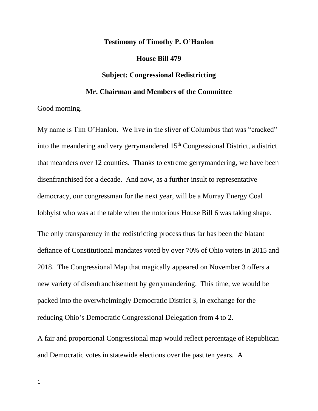## **Testimony of Timothy P. O'Hanlon**

## **House Bill 479**

## **Subject: Congressional Redistricting**

## **Mr. Chairman and Members of the Committee**

Good morning.

My name is Tim O'Hanlon. We live in the sliver of Columbus that was "cracked" into the meandering and very gerrymandered 15<sup>th</sup> Congressional District, a district that meanders over 12 counties. Thanks to extreme gerrymandering, we have been disenfranchised for a decade. And now, as a further insult to representative democracy, our congressman for the next year, will be a Murray Energy Coal lobbyist who was at the table when the notorious House Bill 6 was taking shape.

The only transparency in the redistricting process thus far has been the blatant defiance of Constitutional mandates voted by over 70% of Ohio voters in 2015 and 2018. The Congressional Map that magically appeared on November 3 offers a new variety of disenfranchisement by gerrymandering. This time, we would be packed into the overwhelmingly Democratic District 3, in exchange for the reducing Ohio's Democratic Congressional Delegation from 4 to 2.

A fair and proportional Congressional map would reflect percentage of Republican and Democratic votes in statewide elections over the past ten years. A